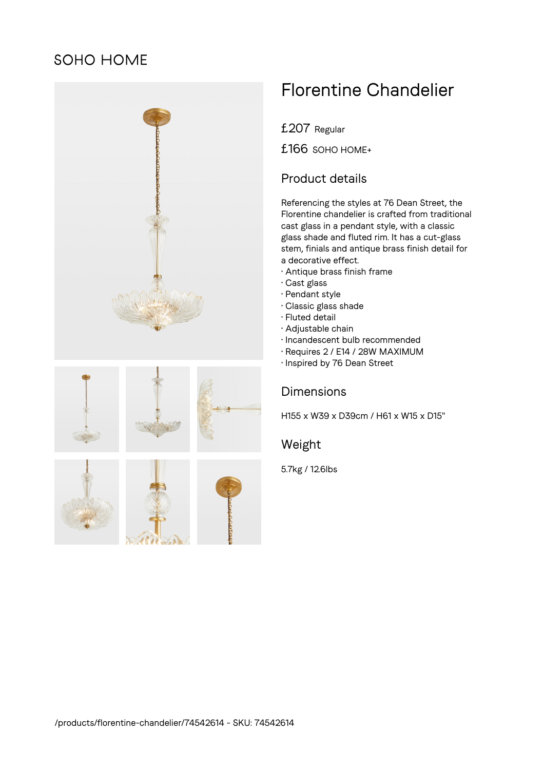# SOHO HOME



# Florentine Chandelier

£207 Regular

£166 SOHO HOME+

# Product details

Referencing the styles at 76 Dean Street, the Florentine chandelier is crafted from traditional cast glass in a pendant style, with a classic glass shade and fluted rim. It has a cut-glass stem, finials and antique brass finish detail for a decorative effect.

- Antique brass finish frame
- Cast glass
- Pendant style
- Classic glass shade
- Fluted detail
- Adjustable chain
- Incandescent bulb recommended
- Requires 2 / E14 / 28W MAXIMUM
- Inspired by 76 Dean Street

# **Dimensions**

H155 x W39 x D39cm / H61 x W15 x D15"

### Weight

5.7kg / 12.6lbs





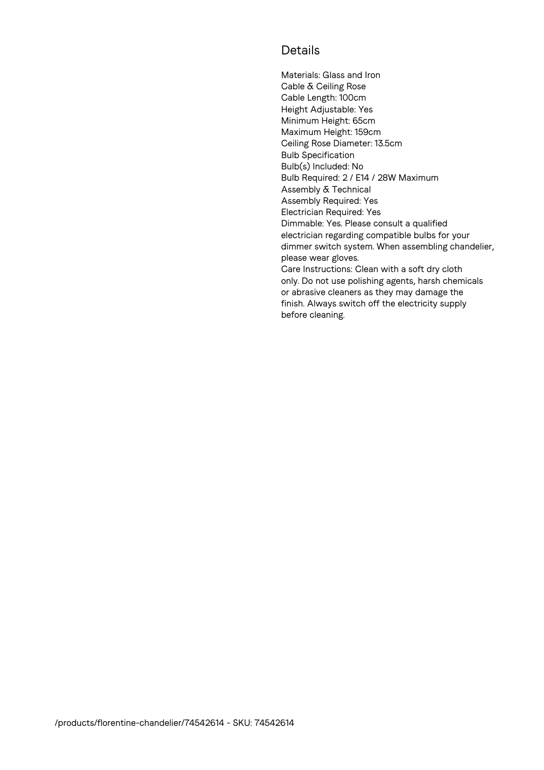# Details

Materials: Glass and Iron Cable & Ceiling Rose Cable Length: 100cm Height Adjustable: Yes Minimum Height: 65cm Maximum Height: 159cm Ceiling Rose Diameter: 13.5cm Bulb Specification Bulb(s) Included: No Bulb Required: 2 / E14 / 28W Maximum Assembly & Technical Assembly Required: Yes Electrician Required: Yes Dimmable: Yes. Please consult a qualified electrician regarding compatible bulbs for your dimmer switch system. When assembling chandelier, please wear gloves. Care Instructions: Clean with a soft dry cloth only. Do not use polishing agents, harsh chemicals or abrasive cleaners as they may damage the finish. Always switch off the electricity supply before cleaning.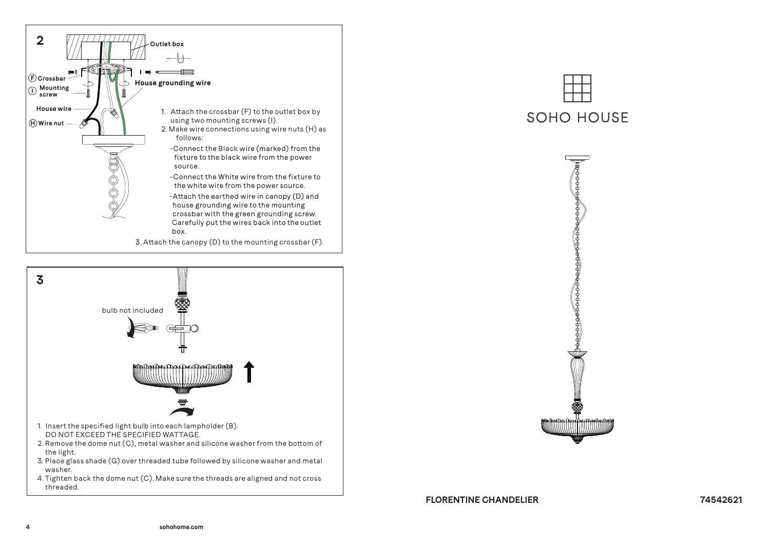



threaded.

# **SOHO HOUSE**